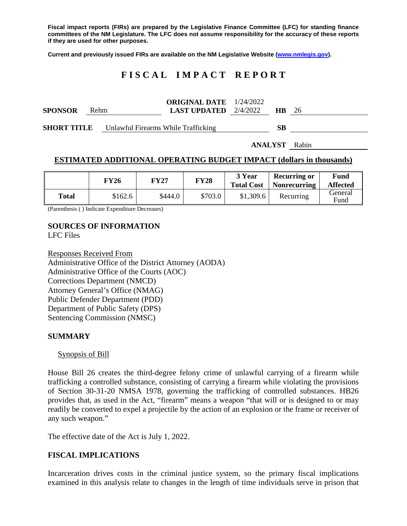**Fiscal impact reports (FIRs) are prepared by the Legislative Finance Committee (LFC) for standing finance committees of the NM Legislature. The LFC does not assume responsibility for the accuracy of these reports if they are used for other purposes.**

**Current and previously issued FIRs are available on the NM Legislative Website [\(www.nmlegis.gov\)](http://www.nmlegis.gov/).**

## **F I S C A L I M P A C T R E P O R T**

| <b>SPONSOR</b>                                         | <b>Rehm</b> |  | <b>ORIGINAL DATE</b> $1/24/2022$<br><b>LAST UPDATED</b> $2/4/2022$ |    | <b>HB</b> 26 |  |
|--------------------------------------------------------|-------------|--|--------------------------------------------------------------------|----|--------------|--|
| <b>SHORT TITLE</b> Unlawful Firearms While Trafficking |             |  |                                                                    | SВ |              |  |

**ANALYST** Rabin

#### **ESTIMATED ADDITIONAL OPERATING BUDGET IMPACT (dollars in thousands)**

|       | FY26    | FY27    | <b>FY28</b> | 3 Year<br><b>Total Cost</b> | <b>Recurring or</b><br><b>Nonrecurring</b> | Fund<br><b>Affected</b> |
|-------|---------|---------|-------------|-----------------------------|--------------------------------------------|-------------------------|
| Total | \$162.6 | \$444.0 | \$703.0     | \$1,309.6                   | Recurring                                  | General<br>Fund         |

(Parenthesis ( ) Indicate Expenditure Decreases)

# **SOURCES OF INFORMATION**

LFC Files

Responses Received From Administrative Office of the District Attorney (AODA) Administrative Office of the Courts (AOC) Corrections Department (NMCD) Attorney General's Office (NMAG) Public Defender Department (PDD) Department of Public Safety (DPS) Sentencing Commission (NMSC)

#### **SUMMARY**

#### Synopsis of Bill

House Bill 26 creates the third-degree felony crime of unlawful carrying of a firearm while trafficking a controlled substance, consisting of carrying a firearm while violating the provisions of Section 30-31-20 NMSA 1978, governing the trafficking of controlled substances. HB26 provides that, as used in the Act, "firearm" means a weapon "that will or is designed to or may readily be converted to expel a projectile by the action of an explosion or the frame or receiver of any such weapon."

The effective date of the Act is July 1, 2022.

## **FISCAL IMPLICATIONS**

Incarceration drives costs in the criminal justice system, so the primary fiscal implications examined in this analysis relate to changes in the length of time individuals serve in prison that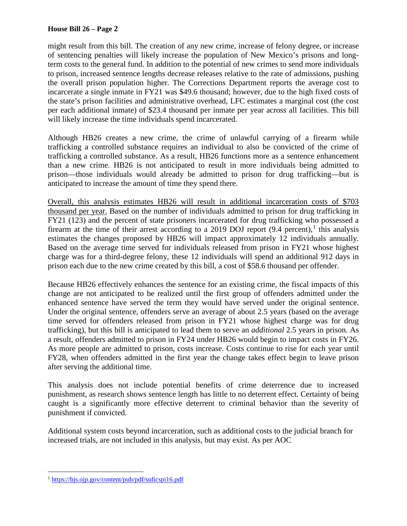#### **House Bill 26 – Page 2**

might result from this bill. The creation of any new crime, increase of felony degree, or increase of sentencing penalties will likely increase the population of New Mexico's prisons and longterm costs to the general fund. In addition to the potential of new crimes to send more individuals to prison, increased sentence lengths decrease releases relative to the rate of admissions, pushing the overall prison population higher. The Corrections Department reports the average cost to incarcerate a single inmate in FY21 was \$49.6 thousand; however, due to the high fixed costs of the state's prison facilities and administrative overhead, LFC estimates a marginal cost (the cost per each additional inmate) of \$23.4 thousand per inmate per year across all facilities. This bill will likely increase the time individuals spend incarcerated.

Although HB26 creates a new crime, the crime of unlawful carrying of a firearm while trafficking a controlled substance requires an individual to also be convicted of the crime of trafficking a controlled substance. As a result, HB26 functions more as a sentence enhancement than a new crime. HB26 is not anticipated to result in more individuals being admitted to prison—those individuals would already be admitted to prison for drug trafficking—but is anticipated to increase the amount of time they spend there.

Overall, this analysis estimates HB26 will result in additional incarceration costs of \$703 thousand per year. Based on the number of individuals admitted to prison for drug trafficking in FY21 (123) and the percent of state prisoners incarcerated for drug trafficking who possessed a firearm at the time of their arrest according to a 20[1](#page-1-0)9 DOJ report  $(9.4 \text{ percent})$ , this analysis estimates the changes proposed by HB26 will impact approximately 12 individuals annually. Based on the average time served for individuals released from prison in FY21 whose highest charge was for a third-degree felony, these 12 individuals will spend an additional 912 days in prison each due to the new crime created by this bill, a cost of \$58.6 thousand per offender.

Because HB26 effectively enhances the sentence for an existing crime, the fiscal impacts of this change are not anticipated to be realized until the first group of offenders admitted under the enhanced sentence have served the term they would have served under the original sentence. Under the original sentence, offenders serve an average of about 2.5 years (based on the average time served for offenders released from prison in FY21 whose highest charge was for drug trafficking), but this bill is anticipated to lead them to serve an *additional* 2.5 years in prison. As a result, offenders admitted to prison in FY24 under HB26 would begin to impact costs in FY26. As more people are admitted to prison, costs increase. Costs continue to rise for each year until FY28, when offenders admitted in the first year the change takes effect begin to leave prison after serving the additional time.

This analysis does not include potential benefits of crime deterrence due to increased punishment, as research shows sentence length has little to no deterrent effect. Certainty of being caught is a significantly more effective deterrent to criminal behavior than the severity of punishment if convicted.

Additional system costs beyond incarceration, such as additional costs to the judicial branch for increased trials, are not included in this analysis, but may exist. As per AOC

<span id="page-1-0"></span> <sup>1</sup> <https://bjs.ojp.gov/content/pub/pdf/suficspi16.pdf>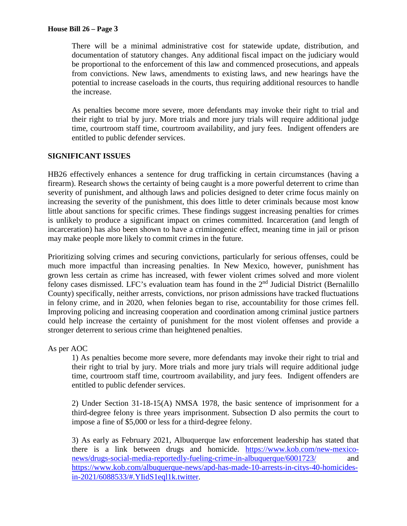There will be a minimal administrative cost for statewide update, distribution, and documentation of statutory changes. Any additional fiscal impact on the judiciary would be proportional to the enforcement of this law and commenced prosecutions, and appeals from convictions. New laws, amendments to existing laws, and new hearings have the potential to increase caseloads in the courts, thus requiring additional resources to handle the increase.

As penalties become more severe, more defendants may invoke their right to trial and their right to trial by jury. More trials and more jury trials will require additional judge time, courtroom staff time, courtroom availability, and jury fees. Indigent offenders are entitled to public defender services.

## **SIGNIFICANT ISSUES**

HB26 effectively enhances a sentence for drug trafficking in certain circumstances (having a firearm). Research shows the certainty of being caught is a more powerful deterrent to crime than severity of punishment, and although laws and policies designed to deter crime focus mainly on increasing the severity of the punishment, this does little to deter criminals because most know little about sanctions for specific crimes. These findings suggest increasing penalties for crimes is unlikely to produce a significant impact on crimes committed. Incarceration (and length of incarceration) has also been shown to have a criminogenic effect, meaning time in jail or prison may make people more likely to commit crimes in the future.

Prioritizing solving crimes and securing convictions, particularly for serious offenses, could be much more impactful than increasing penalties. In New Mexico, however, punishment has grown less certain as crime has increased, with fewer violent crimes solved and more violent felony cases dismissed. LFC's evaluation team has found in the 2<sup>nd</sup> Judicial District (Bernalillo County) specifically, neither arrests, convictions, nor prison admissions have tracked fluctuations in felony crime, and in 2020, when felonies began to rise, accountability for those crimes fell. Improving policing and increasing cooperation and coordination among criminal justice partners could help increase the certainty of punishment for the most violent offenses and provide a stronger deterrent to serious crime than heightened penalties.

As per AOC

1) As penalties become more severe, more defendants may invoke their right to trial and their right to trial by jury. More trials and more jury trials will require additional judge time, courtroom staff time, courtroom availability, and jury fees. Indigent offenders are entitled to public defender services.

2) Under Section 31-18-15(A) NMSA 1978, the basic sentence of imprisonment for a third-degree felony is three years imprisonment. Subsection D also permits the court to impose a fine of \$5,000 or less for a third-degree felony.

3) As early as February 2021, Albuquerque law enforcement leadership has stated that there is a link between drugs and homicide. [https://www.kob.com/new-mexico](https://www.kob.com/new-mexico-news/drugs-social-media-reportedly-fueling-crime-in-albuquerque/6001723/)[news/drugs-social-media-reportedly-fueling-crime-in-albuquerque/6001723/](https://www.kob.com/new-mexico-news/drugs-social-media-reportedly-fueling-crime-in-albuquerque/6001723/) and [https://www.kob.com/albuquerque-news/apd-has-made-10-arrests-in-citys-40-homicides](https://www.kob.com/albuquerque-news/apd-has-made-10-arrests-in-citys-40-homicides-in-2021/6088533/#.YIidS1eql1k.twitter)[in-2021/6088533/#.YIidS1eql1k.twitter.](https://www.kob.com/albuquerque-news/apd-has-made-10-arrests-in-citys-40-homicides-in-2021/6088533/#.YIidS1eql1k.twitter)